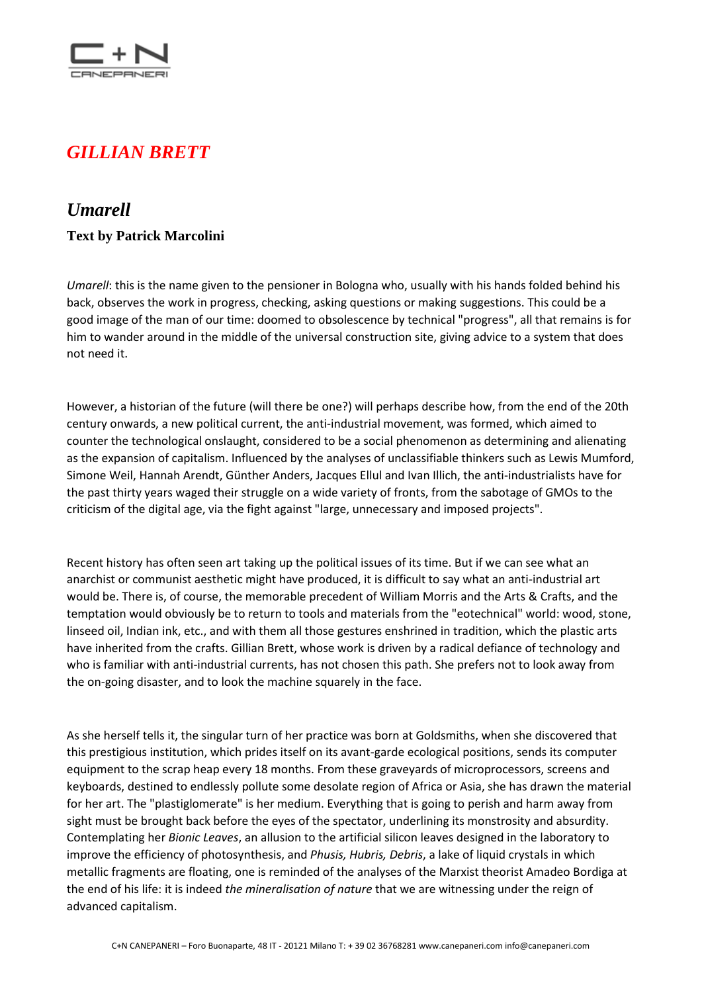

## *GILLIAN BRETT*

## *Umarell*

## **Text by Patrick Marcolini**

*Umarell*: this is the name given to the pensioner in Bologna who, usually with his hands folded behind his back, observes the work in progress, checking, asking questions or making suggestions. This could be a good image of the man of our time: doomed to obsolescence by technical "progress", all that remains is for him to wander around in the middle of the universal construction site, giving advice to a system that does not need it.

However, a historian of the future (will there be one?) will perhaps describe how, from the end of the 20th century onwards, a new political current, the anti-industrial movement, was formed, which aimed to counter the technological onslaught, considered to be a social phenomenon as determining and alienating as the expansion of capitalism. Influenced by the analyses of unclassifiable thinkers such as Lewis Mumford, Simone Weil, Hannah Arendt, Günther Anders, Jacques Ellul and Ivan Illich, the anti-industrialists have for the past thirty years waged their struggle on a wide variety of fronts, from the sabotage of GMOs to the criticism of the digital age, via the fight against "large, unnecessary and imposed projects".

Recent history has often seen art taking up the political issues of its time. But if we can see what an anarchist or communist aesthetic might have produced, it is difficult to say what an anti-industrial art would be. There is, of course, the memorable precedent of William Morris and the Arts & Crafts, and the temptation would obviously be to return to tools and materials from the "eotechnical" world: wood, stone, linseed oil, Indian ink, etc., and with them all those gestures enshrined in tradition, which the plastic arts have inherited from the crafts. Gillian Brett, whose work is driven by a radical defiance of technology and who is familiar with anti-industrial currents, has not chosen this path. She prefers not to look away from the on-going disaster, and to look the machine squarely in the face.

As she herself tells it, the singular turn of her practice was born at Goldsmiths, when she discovered that this prestigious institution, which prides itself on its avant-garde ecological positions, sends its computer equipment to the scrap heap every 18 months. From these graveyards of microprocessors, screens and keyboards, destined to endlessly pollute some desolate region of Africa or Asia, she has drawn the material for her art. The "plastiglomerate" is her medium. Everything that is going to perish and harm away from sight must be brought back before the eyes of the spectator, underlining its monstrosity and absurdity. Contemplating her *Bionic Leaves*, an allusion to the artificial silicon leaves designed in the laboratory to improve the efficiency of photosynthesis, and *Phusis, Hubris, Debris*, a lake of liquid crystals in which metallic fragments are floating, one is reminded of the analyses of the Marxist theorist Amadeo Bordiga at the end of his life: it is indeed *the mineralisation of nature* that we are witnessing under the reign of advanced capitalism.